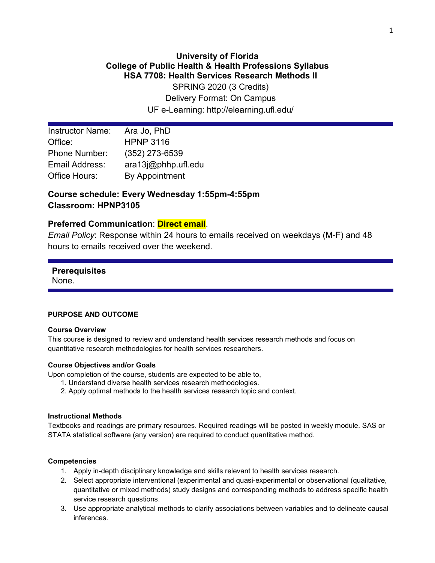## **University of Florida College of Public Health & Health Professions Syllabus HSA 7708: Health Services Research Methods II**

SPRING 2020 (3 Credits) Delivery Format: On Campus UF e-Learning: http://elearning.ufl.edu/

| <b>Instructor Name:</b> | Ara Jo, PhD         |
|-------------------------|---------------------|
| Office:                 | <b>HPNP 3116</b>    |
| <b>Phone Number:</b>    | $(352)$ 273-6539    |
| Email Address:          | ara13j@phhp.ufl.edu |
| Office Hours:           | By Appointment      |

## **Course schedule: Every Wednesday 1:55pm-4:55pm Classroom: HPNP3105**

## **Preferred Communication**: **Direct email**.

*Email Policy*: Response within 24 hours to emails received on weekdays (M-F) and 48 hours to emails received over the weekend.

# **Prerequisites**

None.

## **PURPOSE AND OUTCOME**

#### **Course Overview**

This course is designed to review and understand health services research methods and focus on quantitative research methodologies for health services researchers.

## **Course Objectives and/or Goals**

Upon completion of the course, students are expected to be able to,

- 1. Understand diverse health services research methodologies.
- 2. Apply optimal methods to the health services research topic and context.

#### **Instructional Methods**

Textbooks and readings are primary resources. Required readings will be posted in weekly module. SAS or STATA statistical software (any version) are required to conduct quantitative method.

#### **Competencies**

- 1. Apply in-depth disciplinary knowledge and skills relevant to health services research.
- 2. Select appropriate interventional (experimental and quasi-experimental or observational (qualitative, quantitative or mixed methods) study designs and corresponding methods to address specific health service research questions.
- 3. Use appropriate analytical methods to clarify associations between variables and to delineate causal inferences.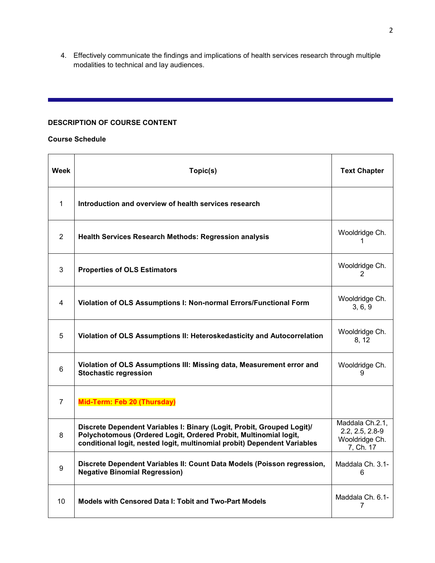4. Effectively communicate the findings and implications of health services research through multiple modalities to technical and lay audiences.

## **DESCRIPTION OF COURSE CONTENT**

#### **Course Schedule**

| Week           | Topic(s)                                                                                                                                                                                                               | <b>Text Chapter</b>                                               |
|----------------|------------------------------------------------------------------------------------------------------------------------------------------------------------------------------------------------------------------------|-------------------------------------------------------------------|
| $\mathbf 1$    | Introduction and overview of health services research                                                                                                                                                                  |                                                                   |
| $\overline{2}$ | <b>Health Services Research Methods: Regression analysis</b>                                                                                                                                                           | Wooldridge Ch.<br>1                                               |
| 3              | <b>Properties of OLS Estimators</b>                                                                                                                                                                                    | Wooldridge Ch.<br>2                                               |
| 4              | Violation of OLS Assumptions I: Non-normal Errors/Functional Form                                                                                                                                                      | Wooldridge Ch.<br>3, 6, 9                                         |
| 5              | Violation of OLS Assumptions II: Heteroskedasticity and Autocorrelation                                                                                                                                                | Wooldridge Ch.<br>8, 12                                           |
| 6              | Violation of OLS Assumptions III: Missing data, Measurement error and<br><b>Stochastic regression</b>                                                                                                                  | Wooldridge Ch.<br>9                                               |
| $\overline{7}$ | Mid-Term: Feb 20 (Thursday)                                                                                                                                                                                            |                                                                   |
| 8              | Discrete Dependent Variables I: Binary (Logit, Probit, Grouped Logit)/<br>Polychotomous (Ordered Logit, Ordered Probit, Multinomial logit,<br>conditional logit, nested logit, multinomial probit) Dependent Variables | Maddala Ch.2.1,<br>2.2, 2.5, 2.8-9<br>Wooldridge Ch.<br>7, Ch. 17 |
| 9              | Discrete Dependent Variables II: Count Data Models (Poisson regression,<br><b>Negative Binomial Regression)</b>                                                                                                        | Maddala Ch. 3.1-<br>6                                             |
| 10             | Models with Censored Data I: Tobit and Two-Part Models                                                                                                                                                                 | Maddala Ch. 6.1-<br>7                                             |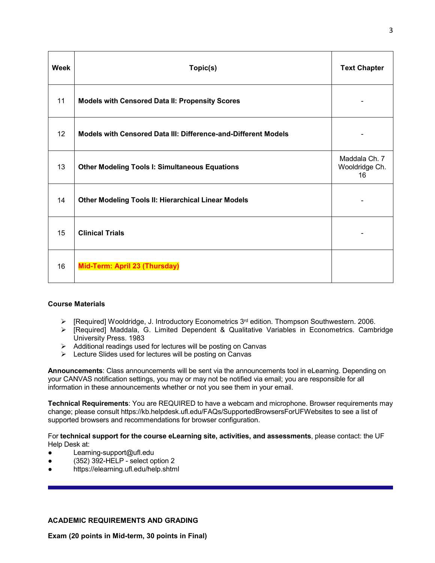| <b>Week</b> | Topic(s)                                                       | <b>Text Chapter</b>                   |
|-------------|----------------------------------------------------------------|---------------------------------------|
| 11          | <b>Models with Censored Data II: Propensity Scores</b>         |                                       |
| 12          | Models with Censored Data III: Difference-and-Different Models |                                       |
| 13          | <b>Other Modeling Tools I: Simultaneous Equations</b>          | Maddala Ch. 7<br>Wooldridge Ch.<br>16 |
| 14          | <b>Other Modeling Tools II: Hierarchical Linear Models</b>     |                                       |
| 15          | <b>Clinical Trials</b>                                         |                                       |
| 16          | Mid-Term: April 23 (Thursday)                                  |                                       |

#### **Course Materials**

- $\triangleright$  [Required] Wooldridge, J. Introductory Econometrics 3<sup>rd</sup> edition. Thompson Southwestern. 2006.
- $\triangleright$  [Required] Maddala, G. Limited Dependent & Qualitative Variables in Econometrics. Cambridge University Press. 1983
- $\triangleright$  Additional readings used for lectures will be posting on Canvas
- $\triangleright$  Lecture Slides used for lectures will be posting on Canvas

**Announcements**: Class announcements will be sent via the announcements tool in eLearning. Depending on your CANVAS notification settings, you may or may not be notified via email; you are responsible for all information in these announcements whether or not you see them in your email.

**Technical Requirements**: You are REQUIRED to have a webcam and microphone. Browser requirements may change; please consult https://kb.helpdesk.ufl.edu/FAQs/SupportedBrowsersForUFWebsites to see a list of supported browsers and recommendations for browser configuration.

For **technical support for the course eLearning site, activities, and assessments**, please contact: the UF Help Desk at:

- Learning-support@ufl.edu
- (352) 392-HELP select option 2
- https://elearning.ufl.edu/help.shtml

## **ACADEMIC REQUIREMENTS AND GRADING**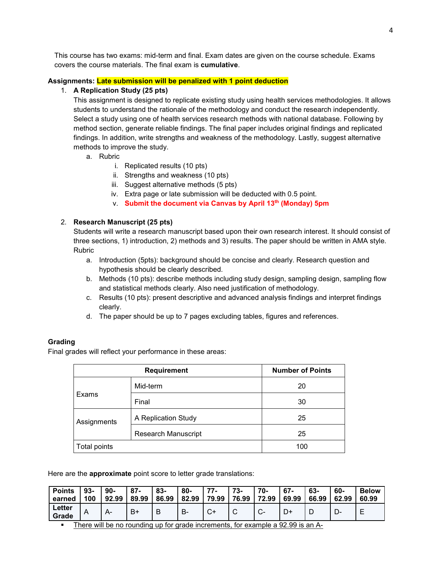This course has two exams: mid-term and final. Exam dates are given on the course schedule. Exams covers the course materials. The final exam is **cumulative**.

#### **Assignments: Late submission will be penalized with 1 point deduction**

#### 1. **A Replication Study (25 pts)**

This assignment is designed to replicate existing study using health services methodologies. It allows students to understand the rationale of the methodology and conduct the research independently. Select a study using one of health services research methods with national database. Following by method section, generate reliable findings. The final paper includes original findings and replicated findings. In addition, write strengths and weakness of the methodology. Lastly, suggest alternative methods to improve the study.

- a. Rubric
	- i. Replicated results (10 pts)
	- ii. Strengths and weakness (10 pts)
	- iii. Suggest alternative methods (5 pts)
	- iv. Extra page or late submission will be deducted with 0.5 point.
	- v. **Submit the document via Canvas by April 13th (Monday) 5pm**

#### 2. **Research Manuscript (25 pts)**

Students will write a research manuscript based upon their own research interest. It should consist of three sections, 1) introduction, 2) methods and 3) results. The paper should be written in AMA style. Rubric

- a. Introduction (5pts): background should be concise and clearly. Research question and hypothesis should be clearly described.
- b. Methods (10 pts): describe methods including study design, sampling design, sampling flow and statistical methods clearly. Also need justification of methodology.
- c. Results (10 pts): present descriptive and advanced analysis findings and interpret findings clearly.
- d. The paper should be up to 7 pages excluding tables, figures and references.

#### **Grading**

Final grades will reflect your performance in these areas:

|              | <b>Number of Points</b>    |    |  |  |  |
|--------------|----------------------------|----|--|--|--|
|              | Mid-term                   | 20 |  |  |  |
| Exams        | Final                      | 30 |  |  |  |
| Assignments  | A Replication Study        | 25 |  |  |  |
|              | <b>Research Manuscript</b> | 25 |  |  |  |
| Total points | 100                        |    |  |  |  |

Here are the **approximate** point score to letter grade translations:

| <b>Points</b>   | $93-$ | 90-   | 87-   | $83 -$ | 80-   | 77.   | $73-$ | 70-                    | 67-   | 63-   | 60-   | <b>Below</b> |
|-----------------|-------|-------|-------|--------|-------|-------|-------|------------------------|-------|-------|-------|--------------|
| earned          | 100   | 92.99 | 89.99 | 86.99  | 82.99 | 79.99 | 76.99 | 72.99                  | 69.99 | 66.99 | 62.99 | 60.99        |
| Letter<br>Grade |       | $A-$  | B۱    | В      | В-    |       |       | $\sim$<br>$\mathbf{v}$ |       | D     | -ש    | _            |

There will be no rounding up for grade increments, for example a 92.99 is an A-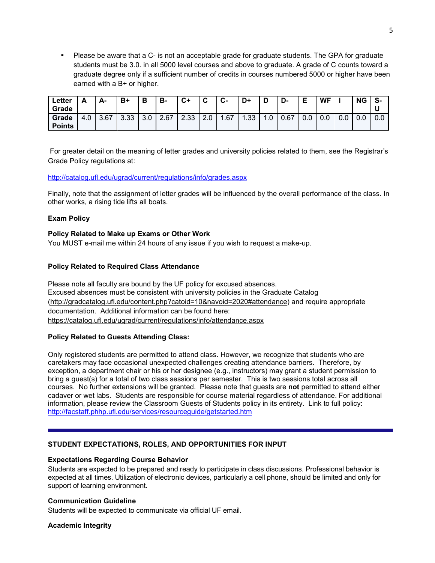Please be aware that a C- is not an acceptable grade for graduate students. The GPA for graduate students must be 3.0. in all 5000 level courses and above to graduate. A grade of C counts toward a graduate degree only if a sufficient number of credits in courses numbered 5000 or higher have been earned with a B+ or higher.

| Letter<br>Grade        | Δ<br>-               | А-   | B+   | в   | B-   | C+   | ◠<br>v                    | ◠<br>ს- | D+               | D   | D-   | Е   | <b>WF</b> |     | <b>NG</b> | S-  |
|------------------------|----------------------|------|------|-----|------|------|---------------------------|---------|------------------|-----|------|-----|-----------|-----|-----------|-----|
| Grade<br><b>Points</b> | $\Omega$<br>4<br>t.U | 3.67 | 3.33 | 3.0 | 2.67 | 2.33 | $\sim$<br>$\Omega$<br>z.u | 1.67    | .33 <sub>1</sub> | 1.0 | 0.67 | 0.0 | 0.0       | 0.0 | 0.0       | 0.0 |

For greater detail on the meaning of letter grades and university policies related to them, see the Registrar's Grade Policy regulations at:

#### <http://catalog.ufl.edu/ugrad/current/regulations/info/grades.aspx>

Finally, note that the assignment of letter grades will be influenced by the overall performance of the class. In other works, a rising tide lifts all boats.

#### **Exam Policy**

#### **Policy Related to Make up Exams or Other Work**

You MUST e-mail me within 24 hours of any issue if you wish to request a make-up.

#### **Policy Related to Required Class Attendance**

Please note all faculty are bound by the UF policy for excused absences. Excused absences must be consistent with university policies in the Graduate Catalog [\(http://gradcatalog.ufl.edu/content.php?catoid=10&navoid=2020#attendance\)](http://gradcatalog.ufl.edu/content.php?catoid=10&navoid=2020#attendance) and require appropriate documentation. Additional information can be found here: <https://catalog.ufl.edu/ugrad/current/regulations/info/attendance.aspx>

#### **Policy Related to Guests Attending Class:**

Only registered students are permitted to attend class. However, we recognize that students who are caretakers may face occasional unexpected challenges creating attendance barriers. Therefore, by exception, a department chair or his or her designee (e.g., instructors) may grant a student permission to bring a guest(s) for a total of two class sessions per semester. This is two sessions total across all courses. No further extensions will be granted. Please note that guests are **not** permitted to attend either cadaver or wet labs. Students are responsible for course material regardless of attendance. For additional information, please review the Classroom Guests of Students policy in its entirety. Link to full policy: <http://facstaff.phhp.ufl.edu/services/resourceguide/getstarted.htm>

#### **STUDENT EXPECTATIONS, ROLES, AND OPPORTUNITIES FOR INPUT**

#### **Expectations Regarding Course Behavior**

Students are expected to be prepared and ready to participate in class discussions. Professional behavior is expected at all times. Utilization of electronic devices, particularly a cell phone, should be limited and only for support of learning environment.

#### **Communication Guideline**

Students will be expected to communicate via official UF email.

#### **Academic Integrity**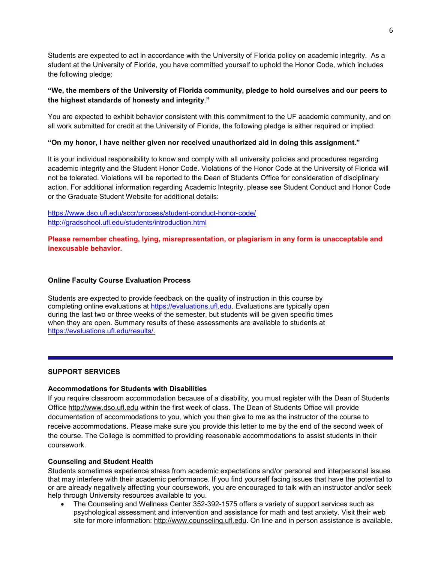Students are expected to act in accordance with the University of Florida policy on academic integrity. As a student at the University of Florida, you have committed yourself to uphold the Honor Code, which includes the following pledge:

#### **"We, the members of the University of Florida community, pledge to hold ourselves and our peers to the highest standards of honesty and integrity**.**"**

You are expected to exhibit behavior consistent with this commitment to the UF academic community, and on all work submitted for credit at the University of Florida, the following pledge is either required or implied:

## **"On my honor, I have neither given nor received unauthorized aid in doing this assignment."**

It is your individual responsibility to know and comply with all university policies and procedures regarding academic integrity and the Student Honor Code. Violations of the Honor Code at the University of Florida will not be tolerated. Violations will be reported to the Dean of Students Office for consideration of disciplinary action. For additional information regarding Academic Integrity, please see Student Conduct and Honor Code or the Graduate Student Website for additional details:

## <https://www.dso.ufl.edu/sccr/process/student-conduct-honor-code/> <http://gradschool.ufl.edu/students/introduction.html>

**Please remember cheating, lying, misrepresentation, or plagiarism in any form is unacceptable and inexcusable behavior.**

## **Online Faculty Course Evaluation Process**

Students are expected to provide feedback on the quality of instruction in this course by completing online evaluations at [https://evaluations.ufl.edu.](https://evaluations.ufl.edu/) Evaluations are typically open during the last two or three weeks of the semester, but students will be given specific times when they are open. Summary results of these assessments are available to students at [https://evaluations.ufl.edu/results/.](https://evaluations.ufl.edu/results/)

#### **SUPPORT SERVICES**

#### **Accommodations for Students with Disabilities**

If you require classroom accommodation because of a disability, you must register with the Dean of Students Office [http://www.dso.ufl.edu](http://www.dso.ufl.edu/) within the first week of class. The Dean of Students Office will provide documentation of accommodations to you, which you then give to me as the instructor of the course to receive accommodations. Please make sure you provide this letter to me by the end of the second week of the course. The College is committed to providing reasonable accommodations to assist students in their coursework.

#### **Counseling and Student Health**

Students sometimes experience stress from academic expectations and/or personal and interpersonal issues that may interfere with their academic performance. If you find yourself facing issues that have the potential to or are already negatively affecting your coursework, you are encouraged to talk with an instructor and/or seek help through University resources available to you.

• The Counseling and Wellness Center 352-392-1575 offers a variety of support services such as psychological assessment and intervention and assistance for math and test anxiety. Visit their web site for more information: [http://www.counseling.ufl.edu.](http://www.counseling.ufl.edu/) On line and in person assistance is available.